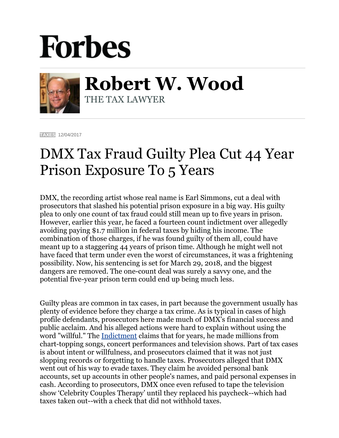## **Forbes**



**Robert W. Wood** THE TAX LAWYER

**[TAXES](https://www.forbes.com/taxes)** 12/04/2017

## DMX Tax Fraud Guilty Plea Cut 44 Year Prison Exposure To 5 Years

DMX, the recording artist whose real name is Earl Simmons, cut a deal with prosecutors that slashed his potential prison exposure in a big way. His guilty plea to only one count of tax fraud could still mean up to five years in prison. However, earlier this year, he faced a fourteen count indictment over allegedly avoiding paying \$1.7 million in federal taxes by hiding his income. The combination of those charges, if he was found guilty of them all, could have meant up to a staggering 44 years of prison time. Although he might well not have faced that term under even the worst of circumstances, it was a frightening possibility. Now, his sentencing is set for March 29, 2018, and the biggest dangers are removed. The one-count deal was surely a savvy one, and the potential five-year prison term could end up being much less.

Guilty pleas are common in tax cases, in part because the government usually has plenty of evidence before they charge a tax crime. As is typical in cases of high profile defendants, prosecutors here made much of DMX's financial success and public acclaim. And his alleged actions were hard to explain without using the word "willful." The [Indictment](https://www.justice.gov/usao-sdny/press-release/file/981321/download) claims that for years, he made millions from chart-topping songs, concert performances and television shows. Part of tax cases is about intent or willfulness, and prosecutors claimed that it was not just slopping records or forgetting to handle taxes. Prosecutors alleged that DMX went out of his way to evade taxes. They claim he avoided personal bank accounts, set up accounts in other people's names, and paid personal expenses in cash. According to prosecutors, DMX once even refused to tape the television show 'Celebrity Couples Therapy' until they replaced his paycheck--which had taxes taken out--with a check that did not withhold taxes.